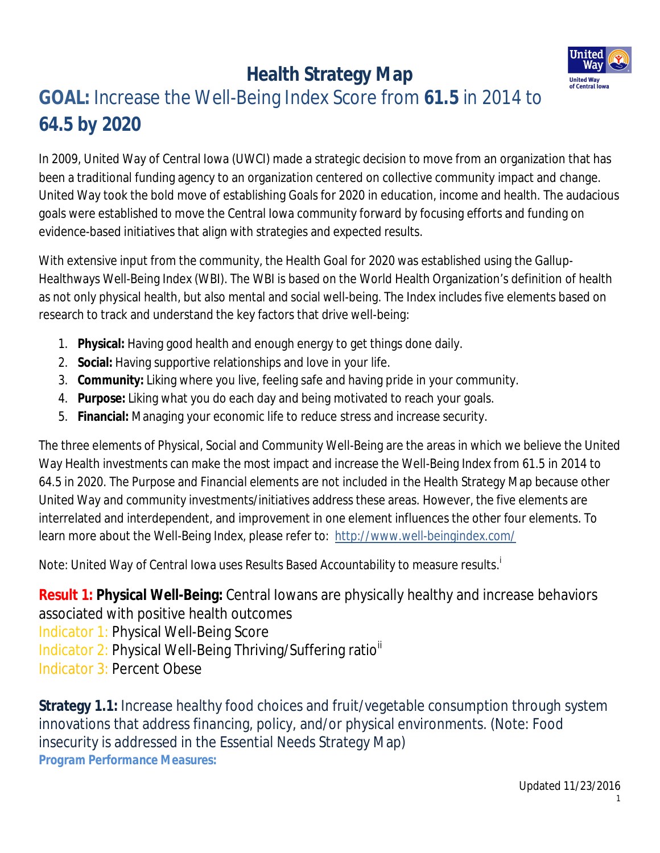

## **GOAL:** Increase the Well-Being Index Score from **61.5** in 2014 to **64.5 by 2020**

In 2009, United Way of Central Iowa (UWCI) made a strategic decision to move from an organization that has been a traditional funding agency to an organization centered on collective community impact and change. United Way took the bold move of establishing Goals for 2020 in education, income and health. The audacious goals were established to move the Central Iowa community forward by focusing efforts and funding on evidence-based initiatives that align with strategies and expected results.

With extensive input from the community, the Health Goal for 2020 was established using the Gallup-Healthways Well-Being Index (WBI). The WBI is based on the World Health Organization's definition of health as not only physical health, but also mental and social well-being. The Index includes five elements based on research to track and understand the key factors that drive well-being:

- 1. **Physical:** Having good health and enough energy to get things done daily.
- 2. **Social:** Having supportive relationships and love in your life.
- 3. **Community:** Liking where you live, feeling safe and having pride in your community.
- 4. **Purpose:** Liking what you do each day and being motivated to reach your goals.
- 5. **Financial:** Managing your economic life to reduce stress and increase security.

The three elements of Physical, Social and Community Well-Being are the areas in which we believe the United Way Health investments can make the most impact and increase the Well-Being Index from 61.5 in 2014 to 64.5 in 2020. The Purpose and Financial elements are not included in the Health Strategy Map because other United Way and community investments/initiatives address these areas. However, the five elements are interrelated and interdependent, and improvement in one element influences the other four elements. To learn more about the Well-Being Index, please refer to: http://www.well-beingindex.com/

Note: United Way of Central Iowa uses Results Based Accountability to measure results. i

**Result 1: Physical Well-Being:** Central Iowans are physically healthy and increase behaviors associated with positive health outcomes Indicator 1: Physical Well-Being Score Indicator 2: Physical Well-Being Thriving/Suffering ratio<sup>ii</sup> Indicator 3: Percent Obese

**Strategy 1.1:** Increase healthy food choices and fruit/vegetable consumption through system innovations that address financing, policy, and/or physical environments. (Note: Food insecurity is addressed in the Essential Needs Strategy Map) *Program Performance Measures:*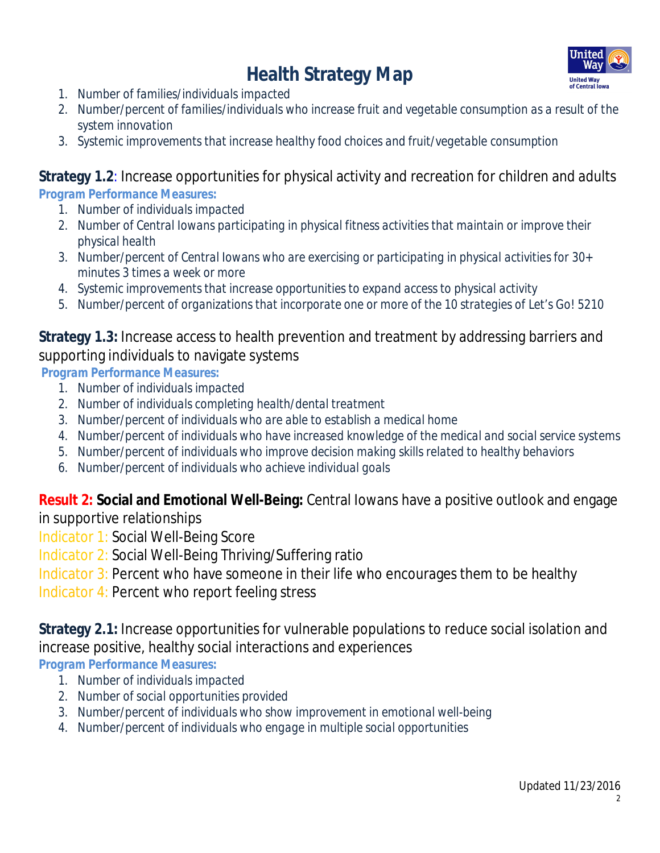

- *1. Number of families/individuals impacted*
- *2. Number/percent of families/individuals who increase fruit and vegetable consumption as a result of the system innovation*
- *3. Systemic improvements that increase healthy food choices and fruit/vegetable consumption*

#### **Strategy 1.2**: Increase opportunities for physical activity and recreation for children and adults *Program Performance Measures:*

- *1. Number of individuals impacted*
- *2. Number of Central Iowans participating in physical fitness activities that maintain or improve their physical health*
- *3. Number/percent of Central Iowans who are exercising or participating in physical activities for 30+ minutes 3 times a week or more*
- *4. Systemic improvements that increase opportunities to expand access to physical activity*
- *5. Number/percent of organizations that incorporate one or more of the 10 strategies of Let's Go! 5210*

#### **Strategy 1.3:** Increase access to health prevention and treatment by addressing barriers and supporting individuals to navigate systems

*Program Performance Measures:* 

- *1. Number of individuals impacted*
- *2. Number of individuals completing health/dental treatment*
- *3. Number/percent of individuals who are able to establish a medical home*
- *4. Number/percent of individuals who have increased knowledge of the medical and social service systems*
- *5. Number/percent of individuals who improve decision making skills related to healthy behaviors*
- *6. Number/percent of individuals who achieve individual goals*

### **Result 2: Social and Emotional Well-Being:** Central Iowans have a positive outlook and engage

in supportive relationships

- Indicator 1: Social Well-Being Score
- Indicator 2: Social Well-Being Thriving/Suffering ratio
- Indicator 3: Percent who have someone in their life who encourages them to be healthy
- Indicator 4: Percent who report feeling stress

### **Strategy 2.1:** Increase opportunities for vulnerable populations to reduce social isolation and increase positive, healthy social interactions and experiences

*Program Performance Measures:* 

- *1. Number of individuals impacted*
- *2. Number of social opportunities provided*
- *3. Number/percent of individuals who show improvement in emotional well-being*
- *4. Number/percent of individuals who engage in multiple social opportunities*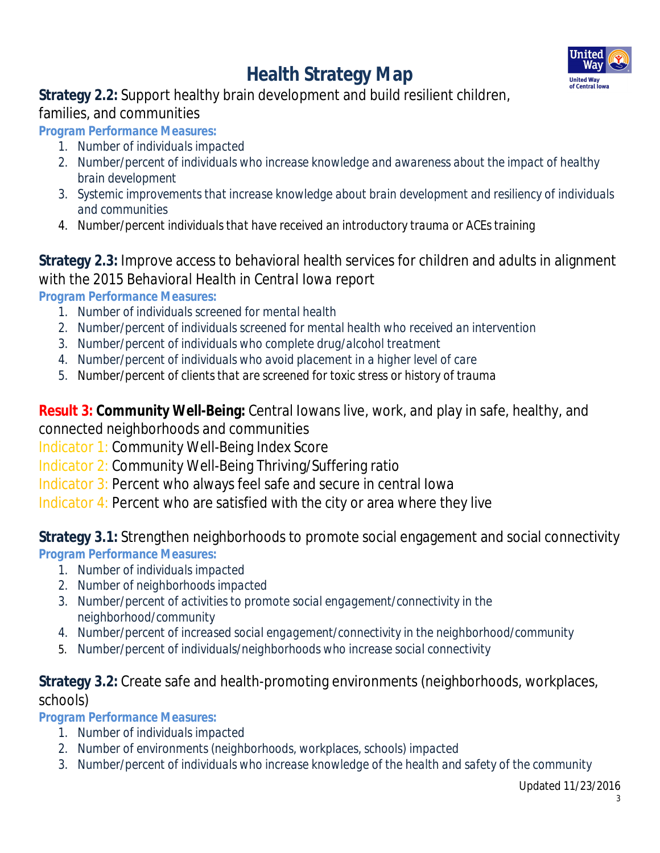

#### **Strategy 2.2:** Support healthy brain development and build resilient children, families, and communities

*Program Performance Measures:* 

- *1. Number of individuals impacted*
- *2. Number/percent of individuals who increase knowledge and awareness about the impact of healthy brain development*
- *3. Systemic improvements that increase knowledge about brain development and resiliency of individuals and communities*
- *4. Number/percent individuals that have received an introductory trauma or ACEs training*

### **Strategy 2.3:** Improve access to behavioral health services for children and adults in alignment with the *2015 Behavioral Health in Central Iowa* report

*Program Performance Measures:* 

- *1. Number of individuals screened for mental health*
- *2. Number/percent of individuals screened for mental health who received an intervention*
- *3. Number/percent of individuals who complete drug/alcohol treatment*
- *4. Number/percent of individuals who avoid placement in a higher level of care*
- *5. Number/percent of clients that are screened for toxic stress or history of trauma*

**Result 3: Community Well-Being:** Central Iowans live, work, and play in safe, healthy, and connected neighborhoods and communities

Indicator 1: Community Well-Being Index Score

- Indicator 2: Community Well-Being Thriving/Suffering ratio
- Indicator 3: Percent who always feel safe and secure in central Iowa

Indicator 4: Percent who are satisfied with the city or area where they live

**Strategy 3.1:** Strengthen neighborhoods to promote social engagement and social connectivity *Program Performance Measures:* 

- *1. Number of individuals impacted*
- *2. Number of neighborhoods impacted*
- *3. Number/percent of activities to promote social engagement/connectivity in the neighborhood/community*
- *4. Number/percent of increased social engagement/connectivity in the neighborhood/community*
- 5. *Number/percent of individuals/neighborhoods who increase social connectivity*

### **Strategy 3.2:** Create safe and health-promoting environments (neighborhoods, workplaces, schools)

*Program Performance Measures:* 

- *1. Number of individuals impacted*
- *2. Number of environments (neighborhoods, workplaces, schools) impacted*
- *3. Number/percent of individuals who increase knowledge of the health and safety of the community*